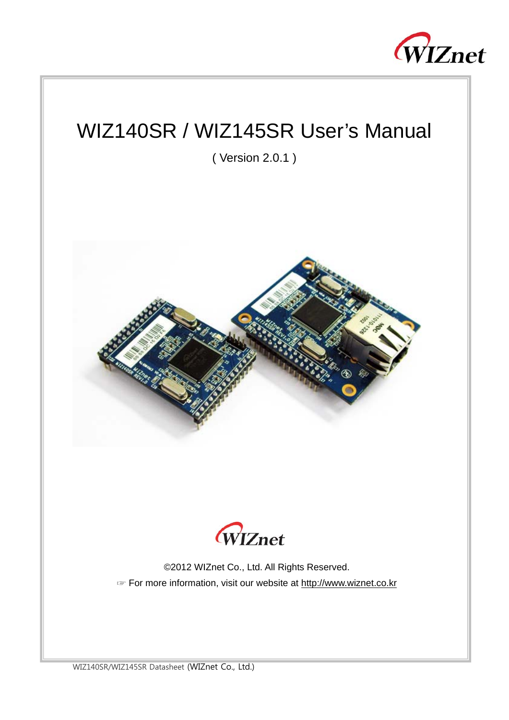

# WIZ140SR / WIZ145SR User's Manual

( Version 2.0.1 )





©2012 WIZnet Co., Ltd. All Rights Reserved. ☞ For more information, visit our website at http://www.wiznet.co.kr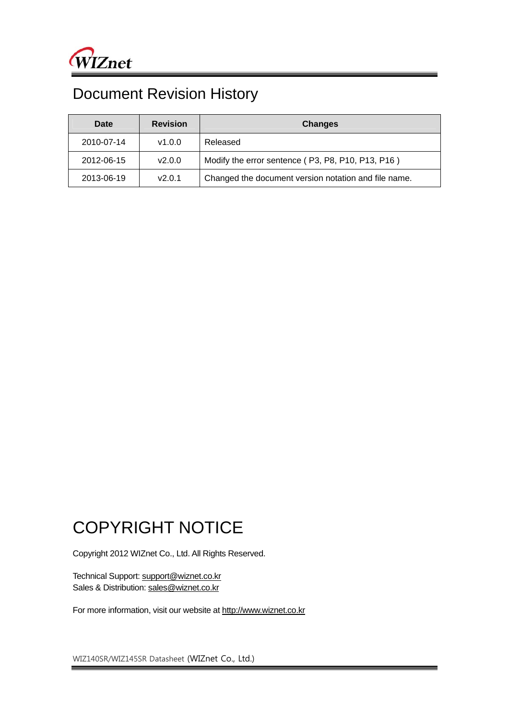## Document Revision History

| Date       | <b>Revision</b> | <b>Changes</b>                                       |  |
|------------|-----------------|------------------------------------------------------|--|
| 2010-07-14 | v1.0.0          | Released                                             |  |
| 2012-06-15 | V2.0.0          | Modify the error sentence (P3, P8, P10, P13, P16)    |  |
| 2013-06-19 | V2.0.1          | Changed the document version notation and file name. |  |

## COPYRIGHT NOTICE

Copyright 2012 WIZnet Co., Ltd. All Rights Reserved.

Technical Support: support@wiznet.co.kr Sales & Distribution: sales@wiznet.co.kr

For more information, visit our website at http://www.wiznet.co.kr

WIZ140SR/WIZ145SR Datasheet (WIZnet Co., Ltd.)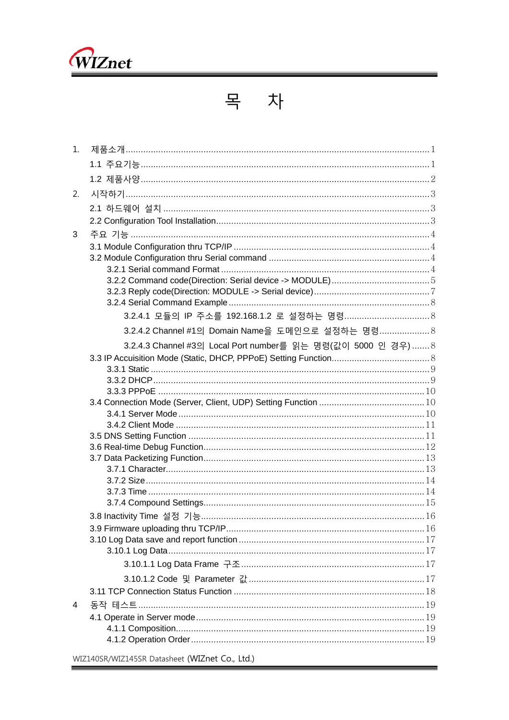

|--|--|

| 1. |                                                               |  |
|----|---------------------------------------------------------------|--|
|    |                                                               |  |
|    |                                                               |  |
| 2. |                                                               |  |
|    |                                                               |  |
|    |                                                               |  |
| 3  |                                                               |  |
|    |                                                               |  |
|    |                                                               |  |
|    |                                                               |  |
|    |                                                               |  |
|    |                                                               |  |
|    |                                                               |  |
|    | 3.2.4.2 Channel #1의 Domain Name을 도메인으로 설정하는 명령 8              |  |
|    | 3.2.4.3 Channel #3의 Local Port number를 읽는 명령(값이 5000 인 경우)  8 |  |
|    |                                                               |  |
|    |                                                               |  |
|    |                                                               |  |
|    |                                                               |  |
|    |                                                               |  |
|    |                                                               |  |
|    |                                                               |  |
|    |                                                               |  |
|    |                                                               |  |
|    |                                                               |  |
|    |                                                               |  |
|    |                                                               |  |
|    |                                                               |  |
|    |                                                               |  |
|    |                                                               |  |
|    |                                                               |  |
|    |                                                               |  |
|    |                                                               |  |
|    |                                                               |  |
|    |                                                               |  |
| 4  |                                                               |  |
|    |                                                               |  |
|    |                                                               |  |
|    |                                                               |  |
|    | WIZ140SR/WIZ145SR Datasheet (WIZnet Co., Ltd.)                |  |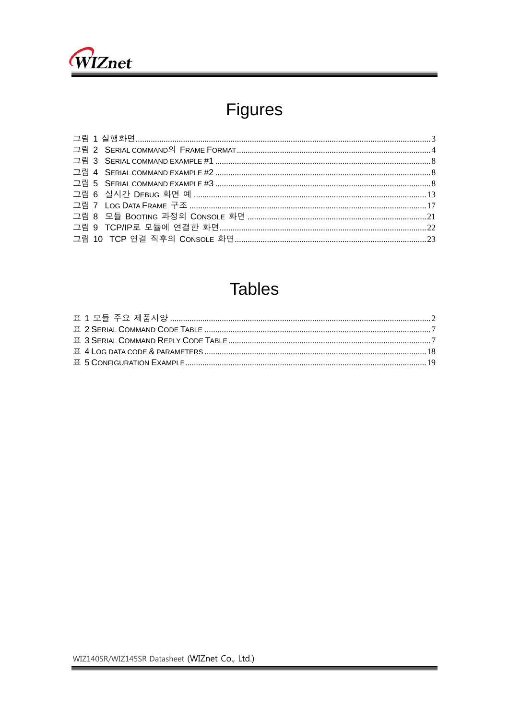

# Figures

## **Tables**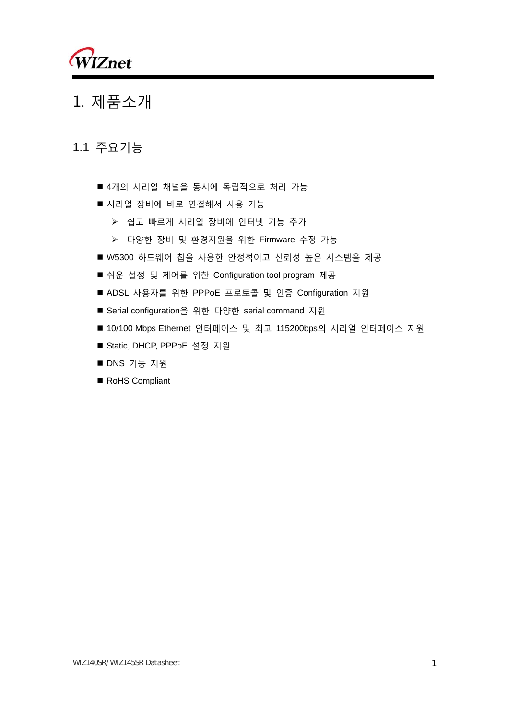

## 1. 제품소개

## 1.1 주요기능

- 4개의 시리얼 채널을 동시에 독립적으로 처리 가능
- 시리얼 장비에 바로 연결해서 사용 가능
	- ▶ 쉽고 빠르게 시리얼 장비에 인터넷 기능 추가
	- 다양한 장비 및 환경지원을 위한 Firmware 수정 가능
- W5300 하드웨어 칩을 사용한 안정적이고 신뢰성 높은 시스템을 제공
- 쉬운 설정 및 제어를 위한 Configuration tool program 제공
- ADSL 사용자를 위한 PPPoE 프로토콜 및 인증 Configuration 지원
- Serial configuration을 위한 다양한 serial command 지원
- 10/100 Mbps Ethernet 인터페이스 및 최고 115200bps의 시리얼 인터페이스 지원
- Static, DHCP, PPPoE 설정 지원
- DNS 기능 지원
- RoHS Compliant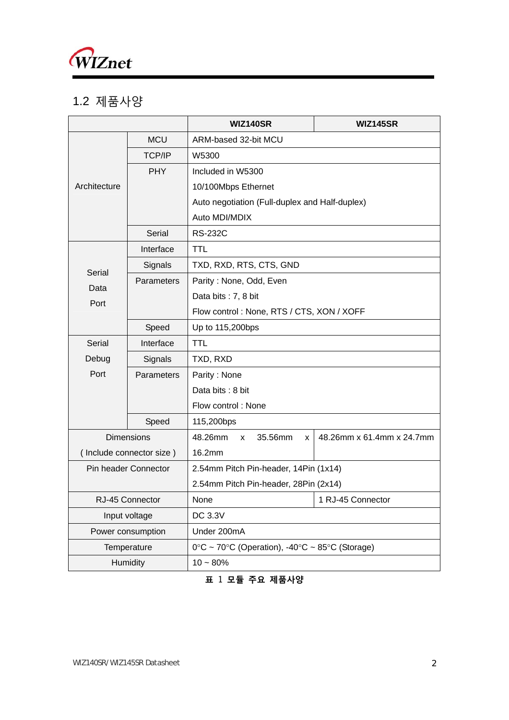

## 1.2 제품사양

|                     |                          | <b>WIZ140SR</b>                                          | <b>WIZ145SR</b>           |  |  |  |  |
|---------------------|--------------------------|----------------------------------------------------------|---------------------------|--|--|--|--|
|                     | <b>MCU</b>               | ARM-based 32-bit MCU                                     |                           |  |  |  |  |
|                     | <b>TCP/IP</b>            | W5300                                                    |                           |  |  |  |  |
|                     | <b>PHY</b>               | Included in W5300                                        |                           |  |  |  |  |
| Architecture        |                          | 10/100Mbps Ethernet                                      |                           |  |  |  |  |
|                     |                          | Auto negotiation (Full-duplex and Half-duplex)           |                           |  |  |  |  |
|                     |                          | Auto MDI/MDIX                                            |                           |  |  |  |  |
|                     | Serial                   | <b>RS-232C</b>                                           |                           |  |  |  |  |
|                     | Interface                | <b>TTL</b>                                               |                           |  |  |  |  |
| Serial              | Signals                  | TXD, RXD, RTS, CTS, GND                                  |                           |  |  |  |  |
| Data                | <b>Parameters</b>        | Parity: None, Odd, Even                                  |                           |  |  |  |  |
| Port                |                          | Data bits: 7, 8 bit                                      |                           |  |  |  |  |
|                     |                          | Flow control: None, RTS / CTS, XON / XOFF                |                           |  |  |  |  |
|                     | Speed                    | Up to 115,200bps                                         |                           |  |  |  |  |
| Serial<br>Interface |                          | <b>TTL</b>                                               |                           |  |  |  |  |
| Debug<br>Signals    |                          | TXD, RXD                                                 |                           |  |  |  |  |
| Port                | <b>Parameters</b>        | Parity: None                                             |                           |  |  |  |  |
|                     |                          | Data bits: 8 bit                                         |                           |  |  |  |  |
|                     |                          | Flow control: None                                       |                           |  |  |  |  |
|                     | Speed                    | 115,200bps                                               |                           |  |  |  |  |
|                     | <b>Dimensions</b>        | 48.26mm<br>35.56mm<br>$\mathsf{x}$<br>X.                 | 48.26mm x 61.4mm x 24.7mm |  |  |  |  |
|                     | (Include connector size) | 16.2mm                                                   |                           |  |  |  |  |
|                     | Pin header Connector     | 2.54mm Pitch Pin-header, 14Pin (1x14)                    |                           |  |  |  |  |
|                     |                          | 2.54mm Pitch Pin-header, 28Pin (2x14)                    |                           |  |  |  |  |
| RJ-45 Connector     |                          | None                                                     | 1 RJ-45 Connector         |  |  |  |  |
| Input voltage       |                          | DC 3.3V                                                  |                           |  |  |  |  |
| Power consumption   |                          | Under 200mA                                              |                           |  |  |  |  |
| Temperature         |                          | $0^{\circ}$ C ~ 70°C (Operation), -40°C ~ 85°C (Storage) |                           |  |  |  |  |
| <b>Humidity</b>     |                          | $10 - 80%$                                               |                           |  |  |  |  |

**표** 1 **모듈 주요 제품사양**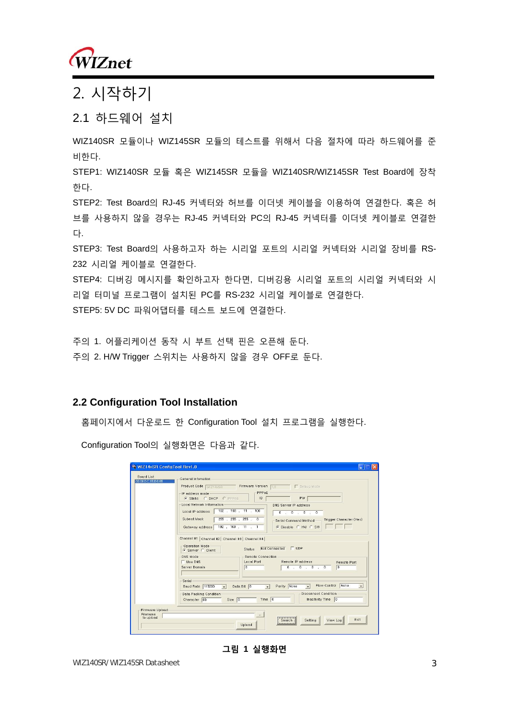

## 2. 시작하기

## 2.1 하드웨어 설치

WIZ140SR 모듈이나 WIZ145SR 모듈의 테스트를 위해서 다음 절차에 따라 하드웨어를 준 비한다. STEP1: WIZ140SR 모듈 혹은 WIZ145SR 모듈을 WIZ140SR/WIZ145SR Test Board에 장착 한다. STEP2: Test Board의 RJ-45 커넥터와 허브를 이더넷 케이블을 이용하여 연결한다. 혹은 허 브를 사용하지 않을 경우는 RJ-45 커넥터와 PC의 RJ-45 커넥터를 이더넷 케이블로 연결한 다. STEP3: Test Board의 사용하고자 하는 시리얼 포트의 시리얼 커넥터와 시리얼 장비를 RS-232 시리얼 케이블로 연결한다.

STEP4: 디버깅 메시지를 확인하고자 한다면, 디버깅용 시리얼 포트의 시리얼 커넥터와 시 리얼 터미널 프로그램이 설치된 PC를 RS-232 시리얼 케이블로 연결한다.

STEP5: 5V DC 파워어댑터를 테스트 보드에 연결한다.

주의 1. 어플리케이션 동작 시 부트 선택 핀은 오픈해 둔다. 주의 2. H/W Trigger 스위치는 사용하지 않을 경우 OFF로 둔다.

#### **2.2 Configuration Tool Installation**

홈페이지에서 다운로드 한 Configuration Tool 설치 프로그램을 실행한다.

Configuration Tool의 실행화면은 다음과 같다.

| Board List<br>00:08 DC:15:D3:65          | General Infomation                                                                                                                                                               |
|------------------------------------------|----------------------------------------------------------------------------------------------------------------------------------------------------------------------------------|
|                                          | Product Code WIZ14xSR<br>Firmware Version 10<br>P Debug Mode                                                                                                                     |
|                                          | PPPoE<br>IP address mode-<br>PW.<br>G Static C DHCP C PPPOE<br>ID                                                                                                                |
|                                          | Local Network Information<br>DNS Server IP address                                                                                                                               |
|                                          | 192 . 168 . 11 . 100<br>Local IP address<br>0 1 0 1 0 0 0 0                                                                                                                      |
|                                          | Subnet Mask<br>255 . 255 . 255 . 0<br>Trigger Character (Hex)<br>Serial Command Method-<br>Gateway address 192 . 168 . 11 . 1<br>C Disable C HW C SW                             |
|                                          | DNS Mode<br>- Remote Connection-<br>Remote IP address<br>$\Box$ Use DNS<br>Local Port<br>Remote Port<br>$\sqrt{0}$<br>0, 0, 0, 0<br>$\sqrt{0}$<br>Server Domain                  |
|                                          | Serial<br>None<br>Flow Control<br>$\overline{\phantom{a}}$<br>Parity None<br>Baud Rate 115200<br>Data Bit 8<br>$\overline{.}$<br>$\overline{\phantom{a}}$<br>$\vert \cdot \vert$ |
|                                          | Disconnect Condition-<br>Data Packing Condition<br>Time $\boxed{0}$<br>Inactivity Time 0<br>Character 00<br>Size $\boxed{0}$                                                     |
| Firmware Upload<br>Filename<br>to upload | $\cdots$<br>Exit<br>View Log<br>Setting<br>Search                                                                                                                                |

#### **그림 1 실행화면**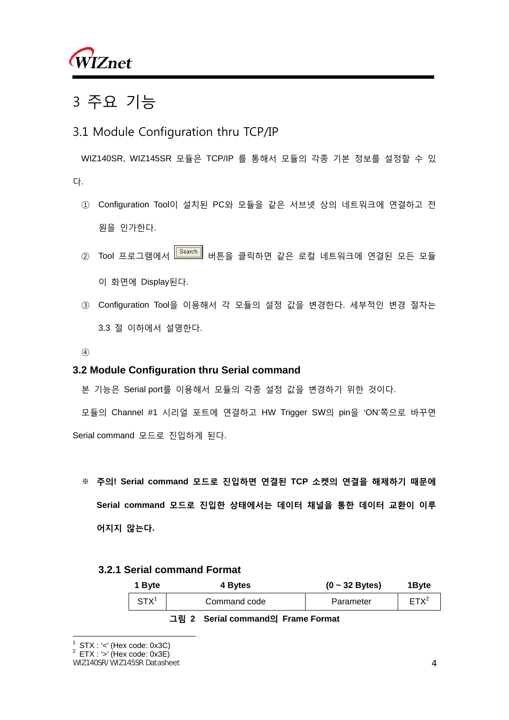

## 3 주요 기능

## 3.1 Module Configuration thru TCP/IP

WIZ140SR, WIZ145SR 모듈은 TCP/IP 를 통해서 모듈의 각종 기본 정보를 설정할 수 있 다.

- ① Configuration Tool이 설치된 PC와 모듈을 같은 서브넷 상의 네트워크에 연결하고 전 원을 인가한다.
- ② Tool 프로그램에서 Livench Hill 버튼을 클릭하면 같은 로컬 네트워크에 연결된 모든 모듈 이 화면에 Display된다.
- ③ Configuration Tool을 이용해서 각 모듈의 설정 값을 변경한다. 세부적인 변경 절차는 3.3 절 이하에서 설명한다.
- ④

#### **3.2 Module Configuration thru Serial command**

본 기능은 Serial port를 이용해서 모듈의 각종 설정 값을 변경하기 위한 것이다.

모듈의 Channel #1 시리얼 포트에 연결하고 HW Trigger SW의 pin을 'ON'쪽으로 바꾸면 Serial command 모드로 진입하게 된다.

※ **주의! Serial command 모드로 진입하면 연결된 TCP 소켓의 연결을 해제하기 때문에 Serial command 모드로 진입한 상태에서는 데이터 채널을 통한 데이터 교환이 이루 어지지 않는다.** 

#### **3.2.1 Serial command Format**

| 1 Byte     | 4 Bytes      | $(0 - 32$ Bytes) | 1 Byte  |
|------------|--------------|------------------|---------|
| <b>STX</b> | Command code | Parameter        | $FTX^2$ |

#### **그림 2 Serial command의 Frame Format**

 $\overline{a}$ 

 $1$  STX : '<' (Hex code: 0x3C)

 $2$  ETX : '>' (Hex code: 0x3E)

WIZ140SR/WIZ145SR Datasheet 4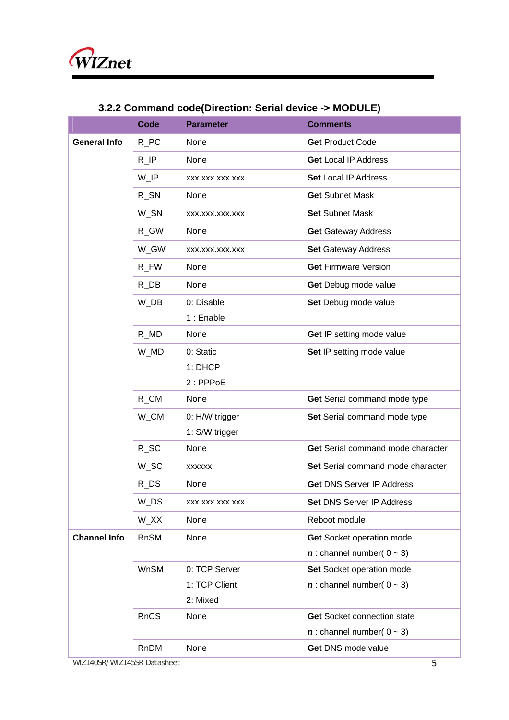|                     | <b>Code</b>         | <b>Parameter</b> | <b>Comments</b>                           |
|---------------------|---------------------|------------------|-------------------------------------------|
| <b>General Info</b> | $R_PC$              | None             | <b>Get Product Code</b>                   |
|                     | R                   | None             | <b>Get Local IP Address</b>               |
|                     | $W$ <sup>IP</sup>   | XXX.XXX.XXX.XXX  | <b>Set Local IP Address</b>               |
|                     | R_SN                | None             | <b>Get Subnet Mask</b>                    |
|                     | W_SN                | XXX.XXX.XXX.XXX  | <b>Set Subnet Mask</b>                    |
|                     | R_GW                | None             | <b>Get Gateway Address</b>                |
|                     | W_GW                | XXX.XXX.XXX.XXX  | <b>Set Gateway Address</b>                |
|                     | R_FW                | None             | <b>Get Firmware Version</b>               |
|                     | $R$ <sub>_DB</sub>  | None             | Get Debug mode value                      |
|                     | W_DB                | 0: Disable       | Set Debug mode value                      |
|                     |                     | 1 : Enable       |                                           |
|                     | $R_MD$              | None             | Get IP setting mode value                 |
|                     | W_MD                | 0: Static        | Set IP setting mode value                 |
|                     |                     | 1: DHCP          |                                           |
|                     |                     | $2:$ PPPoE       |                                           |
|                     | $R\_CM$             | None             | Get Serial command mode type              |
|                     | W_CM                | 0: H/W trigger   | Set Serial command mode type              |
|                     |                     | 1: S/W trigger   |                                           |
|                     | $R_S$ C             | None             | Get Serial command mode character         |
|                     | W_SC                | <b>XXXXXX</b>    | Set Serial command mode character         |
|                     | $R$ <sub>_D</sub> S | None             | <b>Get DNS Server IP Address</b>          |
|                     | W_DS                | XXX.XXX.XXX.XXX  | Set DNS Server IP Address                 |
|                     | W_XX                | None             | Reboot module                             |
| <b>Channel Info</b> | <b>RnSM</b>         | None             | Get Socket operation mode                 |
|                     |                     |                  | $\boldsymbol{n}$ : channel number( 0 ~ 3) |
|                     | <b>WnSM</b>         | 0: TCP Server    | Set Socket operation mode                 |
|                     |                     | 1: TCP Client    | $\boldsymbol{n}$ : channel number( 0 ~ 3) |
|                     |                     | 2: Mixed         |                                           |
|                     | <b>RnCS</b>         | None             | <b>Get Socket connection state</b>        |
|                     |                     |                  | $n$ : channel number( 0 ~ 3)              |
|                     | RnDM                | None             | Get DNS mode value                        |

## **3.2.2 Command code(Direction: Serial device -> MODULE)**

WIZ140SR/WIZ145SR Datasheet 5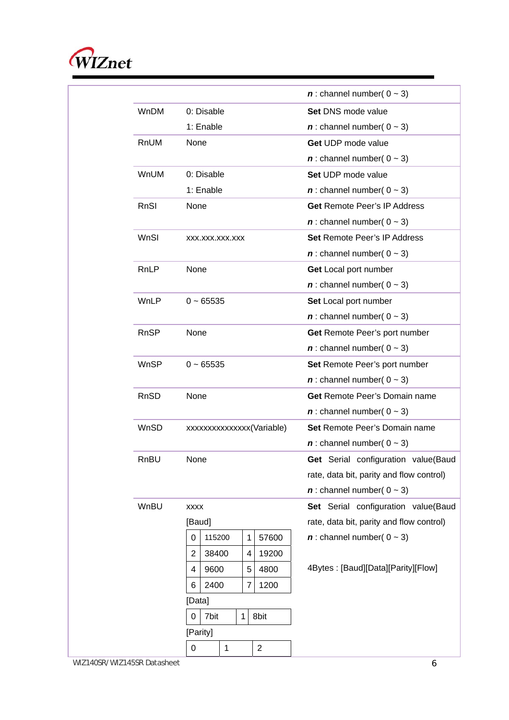

|             |                                     | $\boldsymbol{n}$ : channel number( 0 ~ 3) |
|-------------|-------------------------------------|-------------------------------------------|
| <b>WnDM</b> | 0: Disable                          | <b>Set DNS mode value</b>                 |
|             | 1: Enable                           | $\boldsymbol{n}$ : channel number( 0 ~ 3) |
| RnUM        | None                                | Get UDP mode value                        |
|             |                                     | $\boldsymbol{n}$ : channel number( 0 ~ 3) |
| <b>WnUM</b> | 0: Disable                          | Set UDP mode value                        |
|             | 1: Enable                           | $n$ : channel number( $0 \sim 3$ )        |
| RnSI        | None                                | <b>Get Remote Peer's IP Address</b>       |
|             |                                     | $\boldsymbol{n}$ : channel number( 0 ~ 3) |
| WnSI        | XXX.XXX.XXX.XXX                     | Set Remote Peer's IP Address              |
|             |                                     | $\boldsymbol{n}$ : channel number( 0 ~ 3) |
| RnLP        | None                                | Get Local port number                     |
|             |                                     | $\boldsymbol{n}$ : channel number( 0 ~ 3) |
| WnLP        | $0 - 65535$                         | Set Local port number                     |
|             |                                     | $\boldsymbol{n}$ : channel number( 0 ~ 3) |
| <b>RnSP</b> | None                                | Get Remote Peer's port number             |
|             |                                     | $\boldsymbol{n}$ : channel number( 0 ~ 3) |
| <b>WnSP</b> | $0 - 65535$                         | Set Remote Peer's port number             |
|             |                                     | $\boldsymbol{n}$ : channel number( 0 ~ 3) |
| RnSD        | None                                | <b>Get Remote Peer's Domain name</b>      |
|             |                                     | $\boldsymbol{n}$ : channel number( 0 ~ 3) |
| WnSD        | xxxxxxxxxxxxx(Variable)             | <b>Set Remote Peer's Domain name</b>      |
|             |                                     | $n$ : channel number( $0 \sim 3$ )        |
| RnBU        | None                                | Get Serial configuration value(Baud       |
|             |                                     | rate, data bit, parity and flow control)  |
|             |                                     | $\boldsymbol{n}$ : channel number( 0 ~ 3) |
| WnBU        | <b>XXXX</b>                         | Set Serial configuration value(Baud       |
|             | [Baud]                              | rate, data bit, parity and flow control)  |
|             | 115200<br>57600<br>1<br>0           | $\boldsymbol{n}$ : channel number( 0 ~ 3) |
|             | 38400<br>19200<br>2<br>4            |                                           |
|             | 5<br>9600<br>4800<br>4              | 4Bytes: [Baud][Data][Parity][Flow]        |
|             | 2400<br>$\overline{7}$<br>1200<br>6 |                                           |
|             | [Data]                              |                                           |
|             | 7bit<br>1<br>8bit<br>0              |                                           |
|             | [Parity]                            |                                           |
|             | 2<br>0<br>1                         |                                           |

WIZ140SR/WIZ145SR Datasheet 6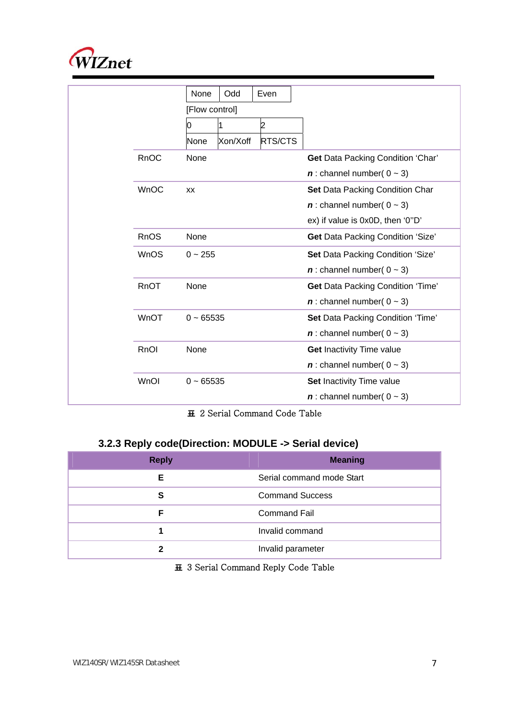

|  |             | None<br>Odd<br>Even         |                                           |
|--|-------------|-----------------------------|-------------------------------------------|
|  |             | [Flow control]              |                                           |
|  |             | 2<br>Ю                      |                                           |
|  |             | RTS/CTS<br>Xon/Xoff<br>None |                                           |
|  | RnOC        | None                        | <b>Get Data Packing Condition 'Char'</b>  |
|  |             |                             | $\boldsymbol{n}$ : channel number( 0 ~ 3) |
|  | <b>WnOC</b> | XX                          | Set Data Packing Condition Char           |
|  |             |                             | $\boldsymbol{n}$ : channel number( 0 ~ 3) |
|  |             |                             | ex) if value is 0x0D, then '0"D'          |
|  | <b>RnOS</b> | None                        | <b>Get Data Packing Condition 'Size'</b>  |
|  | <b>WnOS</b> | $0 - 255$                   | Set Data Packing Condition 'Size'         |
|  |             |                             | $\boldsymbol{n}$ : channel number( 0 ~ 3) |
|  | RnOT        | None                        | <b>Get Data Packing Condition 'Time'</b>  |
|  |             |                             | $\boldsymbol{n}$ : channel number( 0 ~ 3) |
|  | <b>WnOT</b> | $0 - 65535$                 | Set Data Packing Condition 'Time'         |
|  |             |                             | $\boldsymbol{n}$ : channel number( 0 ~ 3) |
|  | RnOI        | None                        | <b>Get Inactivity Time value</b>          |
|  |             |                             | $\boldsymbol{n}$ : channel number( 0 ~ 3) |
|  | WnOI        | $0 - 65535$                 | Set Inactivity Time value                 |
|  |             |                             | $\boldsymbol{n}$ : channel number( 0 ~ 3) |
|  |             |                             |                                           |

**표** 2 Serial Command Code Table

## **3.2.3 Reply code(Direction: MODULE -> Serial device)**

| <b>Reply</b> | <b>Meaning</b>            |
|--------------|---------------------------|
| Е            | Serial command mode Start |
| S            | <b>Command Success</b>    |
| F            | <b>Command Fail</b>       |
|              | Invalid command           |
|              | Invalid parameter         |

#### **표** 3 Serial Command Reply Code Table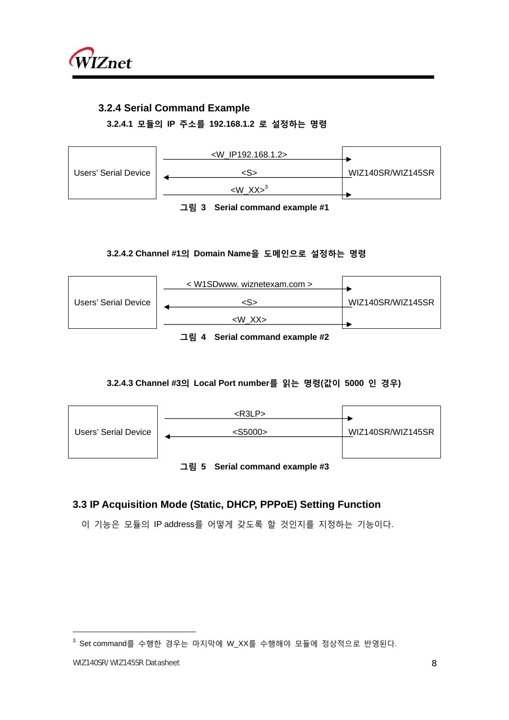

### **3.2.4 Serial Command Example**

**3.2.4.1 모듈의 IP 주소를 192.168.1.2 로 설정하는 명령** 



**그림 3 Serial command example #1** 

#### **3.2.4.2 Channel #1의 Domain Name을 도메인으로 설정하는 명령**

|                      | $\leq$ W1SDwww. wiznetexam.com $>$ |                   |
|----------------------|------------------------------------|-------------------|
| Users' Serial Device | $\langle S \rangle$                | WIZ140SR/WIZ145SR |
|                      | <w xx=""></w>                      |                   |

**그림 4 Serial command example #2** 

#### **3.2.4.3 Channel #3의 Local Port number를 읽는 명령(값이 5000 인 경우)**



### **3.3 IP Acquisition Mode (Static, DHCP, PPPoE) Setting Function**

이 기능은 모듈의 IP address를 어떻게 갖도록 할 것인지를 지정하는 기능이다.

 $\overline{a}$ 

 $^3$  Set $\,$ command를 수행한 경우는 마지막에 W\_XX를 수행해야 모듈에 정상적으로 반영된다.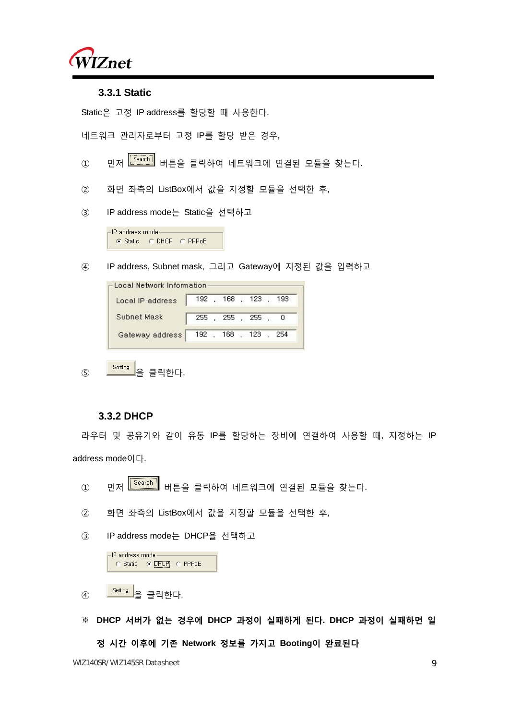

#### **3.3.1 Static**

Static은 고정 IP address를 할당할 때 사용한다.

네트워크 관리자로부터 고정 IP를 할당 받은 경우,

- ① 먼저 <mark> $\overline{\text{Search}}$ </mark> 버튼을 클릭하여 네트워크에 연결된 모듈을 찾는다.
- ② 화면 좌측의 ListBox에서 값을 지정할 모듈을 선택한 후,
- ③ IP address mode는 Static을 선택하고

 $\mathsf{\Gamma}$  P address mode: C Static C DHCP C PPPoE

④ IP address, Subnet mask, 그리고 Gateway에 지정된 값을 입력하고

| Local IP address                    | 192 , 168 , 123 , 193 |  |  |     |
|-------------------------------------|-----------------------|--|--|-----|
| Subnet Mask                         | 255, 255, 255,        |  |  |     |
| Gateway address   192 , 168 , 123 , |                       |  |  | 254 |

5 Setting<br>- 을 클릭한다.

#### **3.3.2 DHCP**

라우터 및 공유기와 같이 유동 IP를 할당하는 장비에 연결하여 사용할 때, 지정하는 IP address mode이다.

- ① 먼저 <mark>「Search」</mark> 버튼을 클릭하여 네트워크에 연결된 모듈을 찾는다.
- ② 화면 좌측의 ListBox에서 값을 지정할 모듈을 선택한 후,

③ IP address mode는 DHCP을 선택하고

| -IP address mode |                         |  |
|------------------|-------------------------|--|
|                  | C Static C DHCP C PPPoE |  |
|                  |                         |  |

④ 을 클릭한다.

※ **DHCP 서버가 없는 경우에 DHCP 과정이 실패하게 된다. DHCP 과정이 실패하면 일 정 시간 이후에 기존 Network 정보를 가지고 Booting이 완료된다**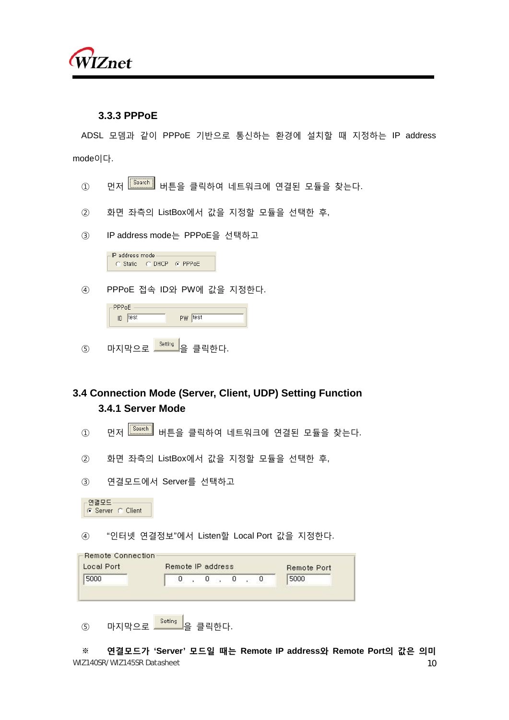

#### **3.3.3 PPPoE**

ADSL 모뎀과 같이 PPPoE 기반으로 통신하는 환경에 설치할 때 지정하는 IP address mode이다.

- ① 먼저 <mark> $\boxed{\frac{\text{Search}}{\text{Search}}}$  버튼을 클릭하여 네트워크에 연결된 모듈을 찾는다.</mark>
- ② 화면 좌측의 ListBox에서 값을 지정할 모듈을 선택한 후,
- ③ IP address mode는 PPPoE을 선택하고

-IP address mode-C Static C DHCP C PPPoE

④ PPPoE 접속 ID와 PW에 값을 지정한다.

| $-$ PPPoE |      |         |  |
|-----------|------|---------|--|
| ID        | test | pw test |  |
|           |      |         |  |

 $\overline{S}$  마지막으로  $\overline{S}$ <sup>Setting</sup> 을 클릭하다.

## **3.4 Connection Mode (Server, Client, UDP) Setting Function 3.4.1 Server Mode**

- ① 먼저 Search 버튼을 클릭하여 네트워크에 연결된 모듈을 찾는다.
- ② 화면 좌측의 ListBox에서 값을 지정할 모듈을 선택한 후,
- ③ 연결모드에서 Server를 선택하고

F연결모드 ⊙ Server © Client

④ "인터넷 연결정보"에서 Listen할 Local Port 값을 지정한다.

|      |   | Remote IP address |   |   | Remote Port |
|------|---|-------------------|---|---|-------------|
| 5000 | Ū | U                 | 0 | U | 5000        |
|      |   |                   |   |   |             |
|      |   |                   |   |   |             |

WIZ140SR/WIZ145SR Datasheet 10 ※ **연결모드가 'Server' 모드일 때는 Remote IP address와 Remote Port의 값은 의미**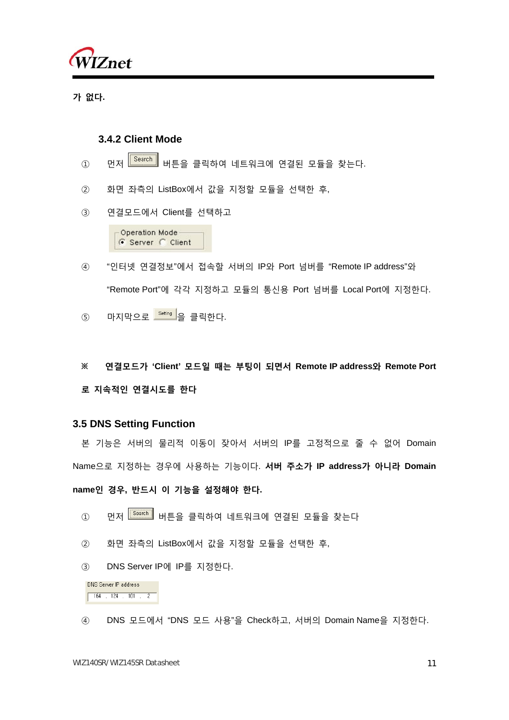

**가 없다.** 

#### **3.4.2 Client Mode**

- ① 먼저 <mark>「<sup>Search</sup>」</mark> 버튼을 클릭하여 네트워크에 연결된 모듈을 찾는다.
- ② 화면 좌측의 ListBox에서 값을 지정할 모듈을 선택한 후,
- ③ 연결모드에서 Client를 선택하고

Operation Mode G Server C Client

- ④ "인터넷 연결정보"에서 접속할 서버의 IP와 Port 넘버를 "Remote IP address"와 "Remote Port"에 각각 지정하고 모듈의 통신용 Port 넘버를 Local Port에 지정한다.
- $(5)$  마지막으로  $\overline{\phantom{a}^\text{Setting}}$ 을 클릭하다.
- **※ 연결모드가 'Client' 모드일 때는 부팅이 되면서 Remote IP address와 Remote Port 로 지속적인 연결시도를 한다**

#### **3.5 DNS Setting Function**

본 기능은 서버의 물리적 이동이 잦아서 서버의 IP를 고정적으로 줄 수 없어 Domain Name으로 지정하는 경우에 사용하는 기능이다. **서버 주소가 IP address가 아니라 Domain** 

#### **name인 경우, 반드시 이 기능을 설정해야 한다.**

- ① 먼저 <mark> $\overline{\text{Search}}$ </mark> 버튼을 클릭하여 네트워크에 연결된 모듈을 찾는다
- ② 화면 좌측의 ListBox에서 값을 지정할 모듈을 선택한 후,
- ③ DNS Server IP에 IP를 지정한다.

DNS Server IP address  $164$  ,  $124$  ,  $101$  , 2

④ DNS 모드에서 "DNS 모드 사용"을 Check하고, 서버의 Domain Name을 지정한다.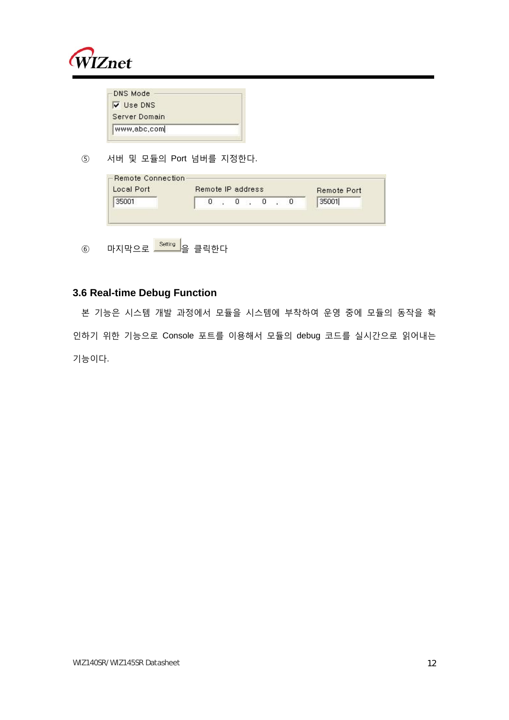

| <b>DNS Mode</b>  |  |
|------------------|--|
| <b>V</b> Use DNS |  |
| Server Domain    |  |
| www.abc.com      |  |

⑤ 서버 및 모듈의 Port 넘버를 지정한다.

| Local Port | Remote IP address |  |  |  | <b>Remote Port</b> |
|------------|-------------------|--|--|--|--------------------|
| 35001      |                   |  |  |  | 35001              |

⑥ 마지막으로 <mark>- Setting -</mark> 을 클릭한다

### **3.6 Real-time Debug Function**

본 기능은 시스템 개발 과정에서 모듈을 시스템에 부착하여 운영 중에 모듈의 동작을 확 인하기 위한 기능으로 Console 포트를 이용해서 모듈의 debug 코드를 실시간으로 읽어내는 기능이다.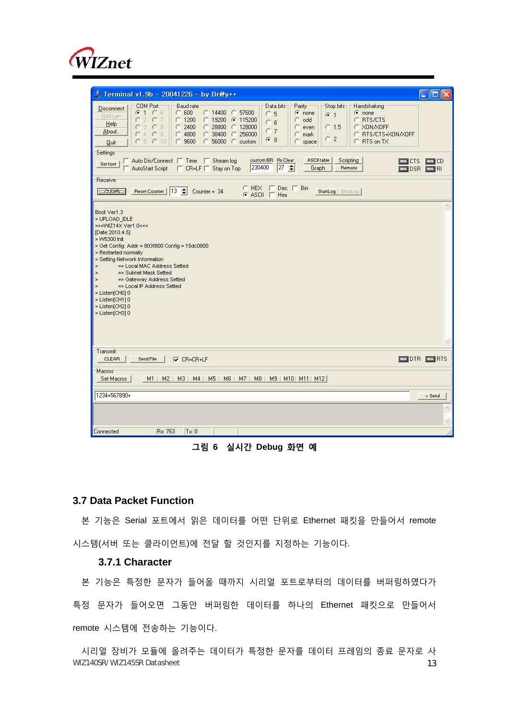

| <b>J</b> Terminal v1.9b - 20041226 - by Br@y++                                                                                                                                                                                                                                                                                                                                                                                                                                                                                                                                                                                                               | $\mathbf{r}$ and $\mathbf{r}$ |
|--------------------------------------------------------------------------------------------------------------------------------------------------------------------------------------------------------------------------------------------------------------------------------------------------------------------------------------------------------------------------------------------------------------------------------------------------------------------------------------------------------------------------------------------------------------------------------------------------------------------------------------------------------------|-------------------------------|
| COM Port<br><b>Baud rate</b><br>Parity<br>Handshaking<br>Data bits<br>Stop bits<br>Disconnect<br>$G$ 1 $C$ 6<br>$C$ 600<br>○ 14400 ○ 57600<br>$\sqrt{\bullet}$ none<br>$\epsilon$ none<br>C <sub>5</sub><br>G <sub>1</sub><br>ReScan<br>207<br>$C$ 1200<br>€ 19200 € 115200<br>C RTS/CTS<br>C<br>c<br>odd<br>$C_6$<br>Help<br>C3C8<br>2400<br>○ 28800 ○ 128000<br>C XON/XOFF<br>$\subset$<br>$C$ 1.5<br>c<br>even<br>C <sub>7</sub><br>About.<br>$C_4C_3$<br>$\subset$<br>4800<br>C 38400<br>C 256000<br>C RTS/CTS+XON/XOFF<br>C<br>mark<br>C <sub>2</sub><br>G8<br>C5C10<br>9600<br>56000<br>C RTS on TX<br>$\sigma$<br>c<br>C custom<br>С<br>space<br>Quit |                               |
| <b>Settings</b><br>ASCII table<br>Auto Dis/Connect   Time   Stream log<br>custom BR Rx Clear<br>Scripting<br>o crsi<br>Set font<br>230400<br>$27 \div$<br>AutoStart Script   CR=LF   Stay on Top<br>Remote<br>Graph<br><b>DSR EN</b>                                                                                                                                                                                                                                                                                                                                                                                                                         | $\Box$ CD                     |
| Receive<br>$C$ HEX $\Box$ Dec $\Box$ Bin<br>Reset Counter   13 Counter = 34<br><b>CONTABIO</b><br>StartLog   StopLog<br>$G$ ASCII $T$ Hex                                                                                                                                                                                                                                                                                                                                                                                                                                                                                                                    |                               |
| Boot Ver1.3<br>> UPLOAD IDLE<br>>>>VMZ14X Ver1.0<<<<br>[Date: 2010.4.5]<br>> VV5300 Init<br>> Get Config: Addr = 803f800 Config = 15dc0800<br>> Restarted normally<br>> Setting Network Information<br>=> Local MAC Address Setted<br>$\geq$<br>=> Subnet Mask Setted<br>$\geq$<br>=> Gateway Address Setted<br>$\geq$<br>=> Local IP Address Setted<br>×<br>> Listen[CH0] 0<br>> Listen[CH1] 0<br>> Listen[CH2] 0<br>> Listen[CH3] 0                                                                                                                                                                                                                        |                               |
| Transmit<br><b>CLEAR</b><br><b>ODIR ORIS</b><br>Send File<br>$\nabla$ CR=CR+LF                                                                                                                                                                                                                                                                                                                                                                                                                                                                                                                                                                               |                               |
| Macros<br>Set Macros<br>M1 M2 M3 M4 M5 M6 M7 M8 M9 M10 M11 M12                                                                                                                                                                                                                                                                                                                                                                                                                                                                                                                                                                                               |                               |
| 1234+567890+                                                                                                                                                                                                                                                                                                                                                                                                                                                                                                                                                                                                                                                 | -> Send                       |
|                                                                                                                                                                                                                                                                                                                                                                                                                                                                                                                                                                                                                                                              |                               |
| Rx: 763<br>$Tx = 0$<br>Connected                                                                                                                                                                                                                                                                                                                                                                                                                                                                                                                                                                                                                             |                               |

**그림 6 실시간 Debug 화면 예**

#### **3.7 Data Packet Function**

본 기능은 Serial 포트에서 읽은 데이터를 어떤 단위로 Ethernet 패킷을 만들어서 remote 시스템(서버 또는 클라이언트)에 전달 할 것인지를 지정하는 기능이다.

#### **3.7.1 Character**

본 기능은 특정한 문자가 들어올 때까지 시리얼 포트로부터의 데이터를 버퍼링하였다가 특정 문자가 들어오면 그동안 버퍼링한 데이터를 하나의 Ethernet 패킷으로 만들어서 remote 시스템에 전송하는 기능이다.

WIZ140SR/WIZ145SR Datasheet 13 시리얼 장비가 모듈에 올려주는 데이터가 특정한 문자를 데이터 프레임의 종료 문자로 사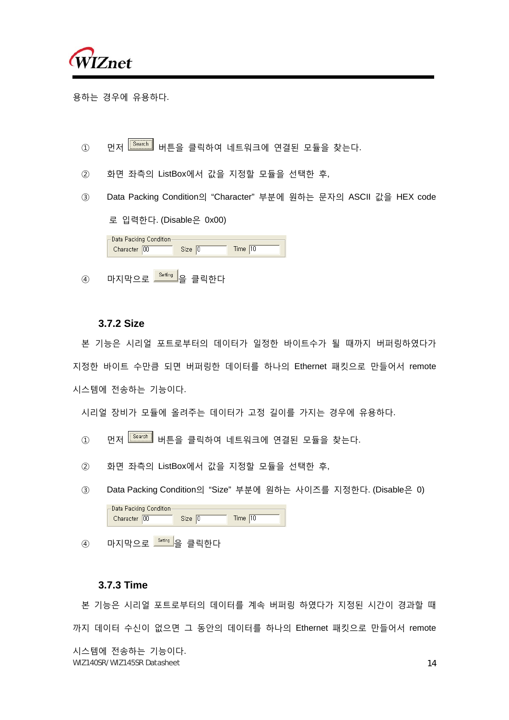

용하는 경우에 유용하다.

- ① 먼저 <mark> $\overline{\text{Search}}$ </mark> 버튼을 클릭하여 네트워크에 연결된 모듈을 찾는다.
- ② 화면 좌측의 ListBox에서 값을 지정할 모듈을 선택한 후,
- ③ Data Packing Condition의 "Character" 부분에 원하는 문자의 ASCII 값을 HEX code 로 입력한다. (Disable은 0x00)

| ⊢Data Packing Condition.<br>Character 00 | Size 10 | Time $10$ |
|------------------------------------------|---------|-----------|
|                                          |         |           |

④ 마지막으로 <mark>- Setting -</mark> 을 클릭한다

#### **3.7.2 Size**

본 기능은 시리얼 포트로부터의 데이터가 일정한 바이트수가 될 때까지 버퍼링하였다가 지정한 바이트 수만큼 되면 버퍼링한 데이터를 하나의 Ethernet 패킷으로 만들어서 remote 시스템에 전송하는 기능이다.

시리얼 장비가 모듈에 올려주는 데이터가 고정 길이를 가지는 경우에 유용하다.

- ① 먼저 Search 버튼을 클릭하여 네트워크에 연결된 모듈을 찾는다.
- ② 화면 좌측의 ListBox에서 값을 지정할 모듈을 선택한 후,
- ③ Data Packing Condition의 "Size" 부분에 원하는 사이즈를 지정한다. (Disable은 0)

| -Data Packing Condition- |        |
|--------------------------|--------|
| Character 00             | Time . |
|                          |        |

 $\overline{a}$  마지막으로  $\overline{a}$  - 아지막으로 그래 이 그 클릭한다

#### **3.7.3 Time**

WIZ140SR/WIZ145SR Datasheet 14 본 기능은 시리얼 포트로부터의 데이터를 계속 버퍼링 하였다가 지정된 시간이 경과할 때 까지 데이터 수신이 없으면 그 동안의 데이터를 하나의 Ethernet 패킷으로 만들어서 remote 시스템에 전송하는 기능이다.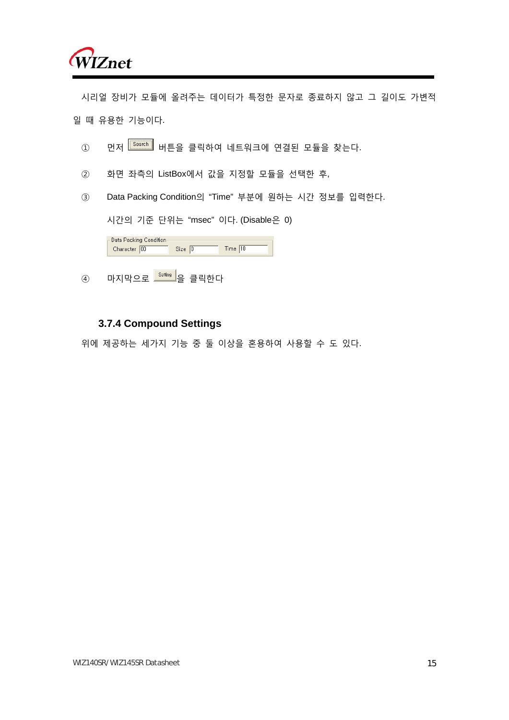

시리얼 장비가 모듈에 올려주는 데이터가 특정한 문자로 종료하지 않고 그 길이도 가변적 일 때 유용한 기능이다.

- ① 먼저 Search 버튼을 클릭하여 네트워크에 연결된 모듈을 찾는다.
- ② 화면 좌측의 ListBox에서 값을 지정할 모듈을 선택한 후,
- ③ Data Packing Condition의 "Time" 부분에 원하는 시간 정보를 입력한다.

시간의 기준 단위는 "msec" 이다. (Disable은 0)

| -Data Packing Condition<br>Character 00 | Size 10 | Time $ 10\rangle$ |
|-----------------------------------------|---------|-------------------|
|                                         |         |                   |

 $\left( \begin{matrix} 4 \end{matrix} \right)$  마지막으로  $\frac{S_{\text{effing}}}{S_{\text{effig}}}$ 을 클릭한다

#### **3.7.4 Compound Settings**

위에 제공하는 세가지 기능 중 둘 이상을 혼용하여 사용할 수 도 있다.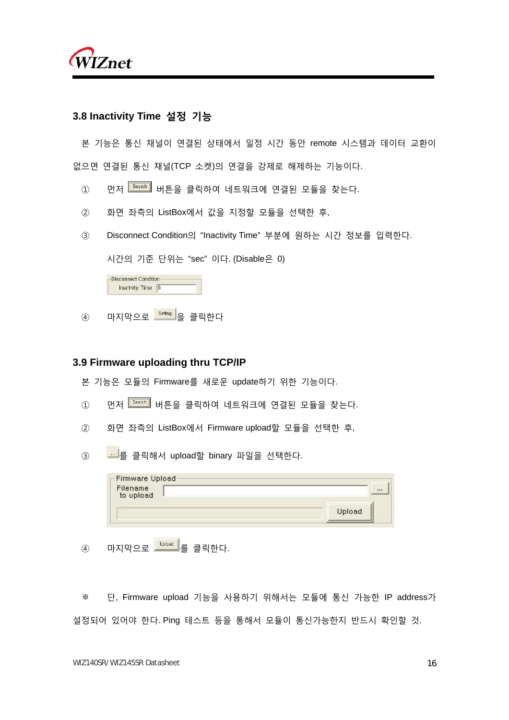

#### **3.8 Inactivity Time 설정 기능**

본 기능은 통신 채널이 연결된 상태에서 일정 시간 동안 remote 시스템과 데이터 교환이 없으면 연결된 통신 채널(TCP 소켓)의 연결을 강제로 해제하는 기능이다.

- ① 먼저 <sup>Search</sup> 버튼을 클릭하여 네트워크에 연결된 모듈을 찾는다.
- ② 화면 좌측의 ListBox에서 값을 지정할 모듈을 선택한 후,
- ③ Disconnect Condition의 "Inactivity Time" 부분에 원하는 시간 정보를 입력한다.

시간의 기준 단위는 "sec" 이다. (Disable은 0)

| Disconnect Condition |  |
|----------------------|--|
| Inactivity Time 0    |  |

 $\circledA$  마지막으로 <sup>Setting</sup> 을 클릭한다

#### **3.9 Firmware uploading thru TCP/IP**

본 기능은 모듈의 Firmware를 새로운 update하기 위한 기능이다.

- ① 먼저 <sup>[Search</sup>] 버튼을 클릭하여 네트워크에 연결된 모듈을 찾는다.
- ② 화면 좌측의 ListBox에서 Firmware upload할 모듈을 선택한 후,
- 3 로 <mark>로</mark>를 클릭해서 upload할 binary 파일을 선택한다.

| -Firmware Upload<br>Filename |        |
|------------------------------|--------|
| to upload                    |        |
|                              | Upload |

 $\overline{a}$  마지막으로 매<mark>비행</mark>를 클릭하다.

※ 단, Firmware upload 기능을 사용하기 위해서는 모듈에 통신 가능한 IP address가 설정되어 있어야 한다. Ping 테스트 등을 통해서 모듈이 통신가능한지 반드시 확인할 것.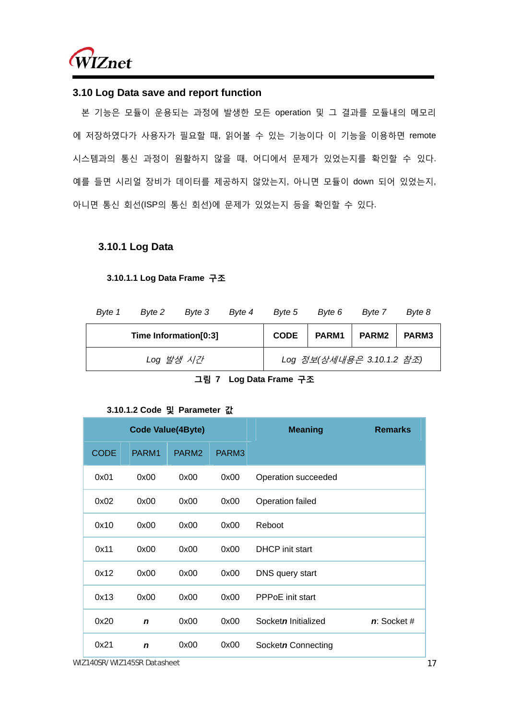

#### **3.10 Log Data save and report function**

본 기능은 모듈이 운용되는 과정에 발생한 모든 operation 및 그 결과를 모듈내의 메모리 에 저장하였다가 사용자가 필요할 때, 읽어볼 수 있는 기능이다 이 기능을 이용하면 remote 시스템과의 통신 과정이 원활하지 않을 때, 어디에서 문제가 있었는지를 확인할 수 있다. 예를 들면 시리얼 장비가 데이터를 제공하지 않았는지, 아니면 모듈이 down 되어 있었는지, 아니면 통신 회선(ISP의 통신 회선)에 문제가 있었는지 등을 확인할 수 있다.

#### **3.10.1 Log Data**

#### **3.10.1.1 Log Data Frame 구조**

| Byte 1<br>Byte 2<br>Byte 4<br>Byte 3 |                       | Byte 5    | Byte 6 | Byte 7      | Byte 8 |                           |       |
|--------------------------------------|-----------------------|-----------|--------|-------------|--------|---------------------------|-------|
|                                      | Time Information[0:3] |           |        | <b>CODE</b> | PARM1  | PARM <sub>2</sub>         | PARM3 |
|                                      |                       | Log 발생 시간 |        |             |        | Log 정보(상세내용은 3.10.1.2 참조) |       |

**그림 7 Log Data Frame 구조**

#### **3.10.1.2 Code 및 Parameter 값**

|             |             | <b>Code Value(4Byte)</b> |                   | <b>Meaning</b>          | <b>Remarks</b> |
|-------------|-------------|--------------------------|-------------------|-------------------------|----------------|
| <b>CODE</b> | PARM1       | PARM <sub>2</sub>        | PARM <sub>3</sub> |                         |                |
| 0x01        | 0x00        | 0x00                     | 0x00              | Operation succeeded     |                |
| 0x02        | 0x00        | 0x00                     | 0x00              | Operation failed        |                |
| 0x10        | 0x00        | 0x00                     | 0x00              | Reboot                  |                |
| 0x11        | 0x00        | 0x00                     | 0x00              | <b>DHCP</b> init start  |                |
| 0x12        | 0x00        | 0x00                     | 0x00              | DNS query start         |                |
| 0x13        | 0x00        | 0x00                     | 0x00              | <b>PPPoE</b> init start |                |
| 0x20        | $\mathbf n$ | 0x00                     | 0x00              | Socketn Initialized     | $n$ : Socket # |
| 0x21        | $\mathbf n$ | 0x00                     | 0x00              | Socketn Connecting      |                |

WIZ140SR/WIZ145SR Datasheet 17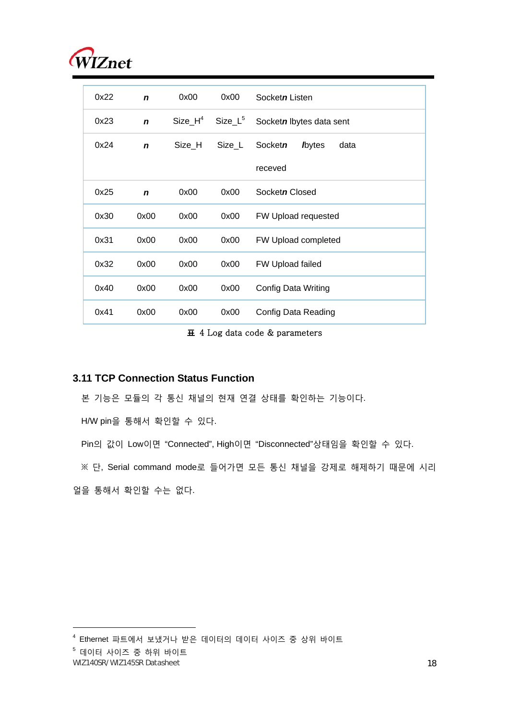

| 0x22 | $\mathbf n$ | 0x00       | 0x00       | Socketn Listen                           |
|------|-------------|------------|------------|------------------------------------------|
| 0x23 | $\mathbf n$ | Size $H^4$ | $Size_L^5$ | Socketn lbytes data sent                 |
| 0x24 | $\mathbf n$ | Size H     | Size_L     | Socketn<br><b><i>l</i></b> bytes<br>data |
|      |             |            |            | receved                                  |
| 0x25 | $\mathbf n$ | 0x00       | 0x00       | Socketn Closed                           |
| 0x30 | 0x00        | 0x00       | 0x00       | FW Upload requested                      |
| 0x31 | 0x00        | 0x00       | 0x00       | FW Upload completed                      |
| 0x32 | 0x00        | 0x00       | 0x00       | FW Upload failed                         |
| 0x40 | 0x00        | 0x00       | 0x00       | Config Data Writing                      |
| 0x41 | 0x00        | 0x00       | 0x00       | Config Data Reading                      |

**표** 4 Log data code & parameters

#### **3.11 TCP Connection Status Function**

본 기능은 모듈의 각 통신 채널의 현재 연결 상태를 확인하는 기능이다.

H/W pin을 통해서 확인할 수 있다.

Pin의 값이 Low이면 "Connected", High이면 "Disconnected"상태임을 확인할 수 있다.

※ 단, Serial command mode로 들어가면 모든 통신 채널을 강제로 해제하기 때문에 시리

얼을 통해서 확인할 수는 없다.

 $<sup>5</sup>$  데이터 사이즈 중 하위 바이트</sup>

 $\overline{a}$ 

<sup>4</sup> Ethernet 파트에서 보냈거나 받은 데이터의 데이터 사이즈 중 상위 바이트

WIZ140SR/WIZ145SR Datasheet 18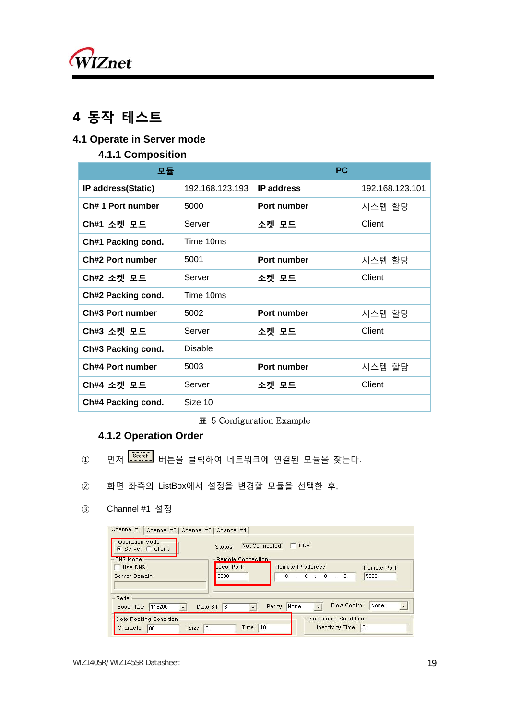

## **4 동작 테스트**

## **4.1 Operate in Server mode**

### **4.1.1 Composition**

| 모듈                 |                 | <b>PC</b>         |                 |
|--------------------|-----------------|-------------------|-----------------|
| IP address(Static) | 192.168.123.193 | <b>IP address</b> | 192.168.123.101 |
| Ch# 1 Port number  | 5000            | Port number       | 시스템 할당          |
| Ch#1 소켓 모드         | Server          | 소켓 모드             | Client          |
| Ch#1 Packing cond. | Time 10ms       |                   |                 |
| Ch#2 Port number   | 5001            | Port number       | 시스템 할당          |
| Ch#2 소켓 모드         | Server          | 소켓 모드             | Client          |
| Ch#2 Packing cond. | Time 10ms       |                   |                 |
| Ch#3 Port number   | 5002            | Port number       | 시스템 할당          |
| Ch#3 소켓 모드         | Server          | 소켓 모드             | Client          |
| Ch#3 Packing cond. | <b>Disable</b>  |                   |                 |
| Ch#4 Port number   | 5003            | Port number       | 시스템 할당          |
| Ch#4 소켓 모드         | Server          | 소켓 모드             | Client          |
| Ch#4 Packing cond. | Size 10         |                   |                 |

#### **표** 5 Configuration Example

### **4.1.2 Operation Order**

- ① 먼저 Search 버튼을 클릭하여 네트워크에 연결된 모듈을 찾는다.
- ② 화면 좌측의 ListBox에서 설정을 변경할 모듈을 선택한 후,
- ③ Channel #1 설정

| <b>DNS Mode</b><br>Remote Connection<br>Local Port<br>Remote IP address<br>Use DNS<br><b>Remote Port</b><br>$\therefore$ 0<br>5000<br>0, 0, 0<br>5000<br>Server Domain<br>Serial<br>None<br>Flow Control<br>$\bullet$<br>None<br>Parity<br>8<br>115200<br>Data Bit<br><b>Baud Rate</b><br>$\overline{\phantom{a}}$ | Operation Mode<br>G Server C Client | Not Connected<br>Status | <b>UDP</b> |  |
|--------------------------------------------------------------------------------------------------------------------------------------------------------------------------------------------------------------------------------------------------------------------------------------------------------------------|-------------------------------------|-------------------------|------------|--|
|                                                                                                                                                                                                                                                                                                                    |                                     |                         |            |  |
|                                                                                                                                                                                                                                                                                                                    |                                     |                         |            |  |
|                                                                                                                                                                                                                                                                                                                    |                                     |                         |            |  |
|                                                                                                                                                                                                                                                                                                                    |                                     |                         |            |  |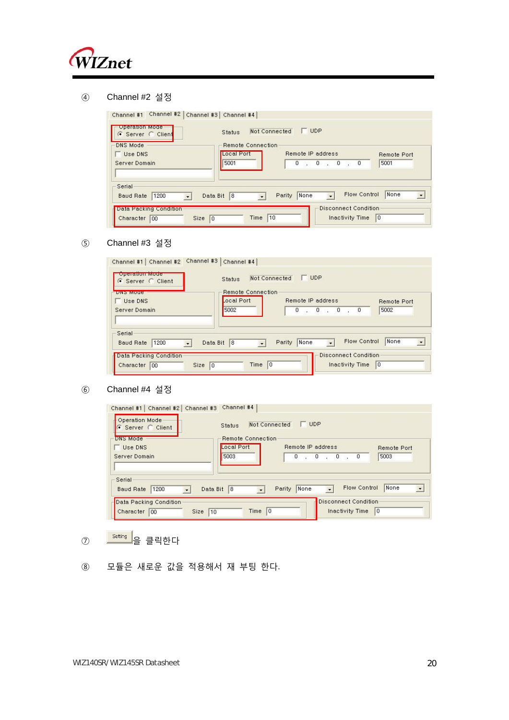

Channel #2 설정

| Operation Mode<br>C Server C Client                     | Status            | $\Gamma$ UDP<br><b>Not Connected</b> |                                  |
|---------------------------------------------------------|-------------------|--------------------------------------|----------------------------------|
| <b>DNS Mode</b>                                         | Remote Connection |                                      |                                  |
| Use DNS                                                 | Local Port        | Remote IP address                    | <b>Remote Port</b>               |
| Server Domain                                           | 5001              | $\sqrt{0}$<br>0, 0, 0                | 5001                             |
| Serial<br>1200<br>Baud Rate<br>$\overline{\phantom{a}}$ | Data Bit<br>8     | Flow Control<br>None<br>Parity       | None<br>$\overline{\phantom{a}}$ |

#### Channel #3 설정

| <b>DINS MODE</b>                   | Remote Connection |                                |                        |
|------------------------------------|-------------------|--------------------------------|------------------------|
| Use DNS                            | Local Port        | Remote IP address              | <b>Remote Port</b>     |
| Server Domain                      | 5002              | 0, 0, 0, 0                     | 5002                   |
| Serial<br>1200<br><b>Baud Rate</b> | 18<br>Data Bit    | Flow Control<br>None<br>Parity | None<br>$\overline{z}$ |

#### Channel #4 설정

| Operation Mode-<br>$\epsilon$ Server $\epsilon$ Client | Status              | $\Box$<br>Not Connected               |                              |
|--------------------------------------------------------|---------------------|---------------------------------------|------------------------------|
| DNS Mode                                               | Remote Connection   |                                       |                              |
| Use DNS                                                | Local Port          | Remote IP address                     | <b>Remote Port</b>           |
| Server Domain                                          | 5003                | 0, 0, 0, 0                            | 5003                         |
| Serial                                                 | Data Bit<br>18<br>٠ | Flow Control<br>None<br><b>Parity</b> | None<br>$\blacktriangledown$ |
| 1200<br><b>Baud Rate</b><br>٠                          |                     |                                       |                              |

- ⑦ <mark>Setting</mark> 을 클릭한다
- 모듈은 새로운 값을 적용해서 재 부팅 한다.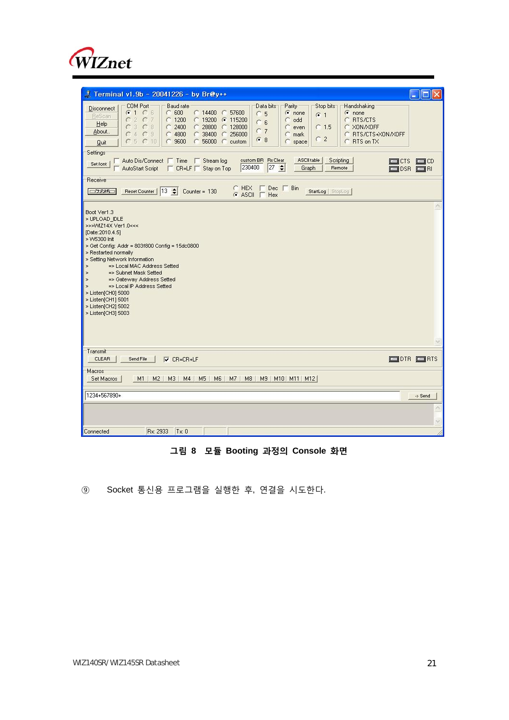

| Terminal v1.9b - 20041226 - by Br@y++<br>ll C                                                                                                                                                                                                                                                                                                                                                                                                                                                                                                                                                                                                               |  |
|-------------------------------------------------------------------------------------------------------------------------------------------------------------------------------------------------------------------------------------------------------------------------------------------------------------------------------------------------------------------------------------------------------------------------------------------------------------------------------------------------------------------------------------------------------------------------------------------------------------------------------------------------------------|--|
| <b>COM Port</b><br><b>Baud rate</b><br>Data bits<br>Parity<br>Stop bits<br>Handshaking<br>Disconnect<br>G1 C6<br>600<br>◯ 14400 ◯ 57600<br>C.<br>$\epsilon$ none<br>$\epsilon$ none<br>5<br>C.<br>$G$ 1<br>ReScan<br>2C7<br>C.<br>1200<br>€ 19200 ● 115200<br>C RTS/CTS<br>C<br>odd<br>с<br>c<br>6<br>Help<br>3C8<br>2400<br>$C$ 28800<br>$C$ 128000<br>XON/XOFF<br>C.<br>C.<br>$C$ 1.5<br>с<br>even<br>C<br>C <sub>7</sub><br>About<br>$C_4C_3$<br>$\subset$<br>4800<br>c<br>38400<br>256000<br>RTS/CTS+XON/XOFF<br>$\subset$<br>c.<br>c<br>mark<br>C <sub>2</sub><br>G8<br>C5C10<br>9600<br>◯ 56000 ◯ custom<br>RTS on TX<br>c<br>C<br>с<br>space<br>Quit |  |
| Settings<br><b>ASCII table</b><br>□ Auto Dis/Connect □ Time □ Stream log<br>custom BR Rx Clear<br>Scripting<br>T <sub>crs</sub><br>$\Box$ CD<br>Set font<br>230400<br>$ 27 \div$<br>AutoStart Script<br>□ CR=LF Stay on Top<br>Remote<br>Graph<br>$\blacksquare$ DSR<br>ERI                                                                                                                                                                                                                                                                                                                                                                                 |  |
| Receive                                                                                                                                                                                                                                                                                                                                                                                                                                                                                                                                                                                                                                                     |  |
| $C$ HEX $\Gamma$ Dec $\Gamma$ Bin<br>Reset Counter   13 $\leftarrow$ Counter = 130<br>CONFARCO<br>StartLog StopLog<br>$G$ ASCII $\Gamma$ Hex                                                                                                                                                                                                                                                                                                                                                                                                                                                                                                                |  |
| Boot Ver1.3<br>> UPLOAD_IDLE<br>>>>WMZ14X Ver1.0<<<<br>[Date: 2010.4.5]<br>> W5300 Init<br>> Get Config: Addr = 803f800 Config = 15dc0800<br>> Restarted normally<br>> Setting Network Information<br>=> Local MAC Address Setted<br>$\geq$<br>=> Subnet Mask Setted<br>$\geq$<br>=> Gateway Address Setted<br>$\geq$<br>=> Local IP Address Setted<br>$\geq$<br>> Listen[CH0] 5000<br>> Listen[CH1] 5001<br>> Listen[CH2] 5002<br>> Listen[CH3] 5003                                                                                                                                                                                                       |  |
| Transmit<br><b>CLEAR</b><br>Send File<br>$\square$ DTR $\square$ RTS<br>$\triangledown$ CR=CR+LF                                                                                                                                                                                                                                                                                                                                                                                                                                                                                                                                                            |  |
| Macros<br>M2   M3   M4   M5   M6   M7   M8   M9   M10   M11   M12  <br>Set Macros<br>M1                                                                                                                                                                                                                                                                                                                                                                                                                                                                                                                                                                     |  |
| 1234+567890+<br>-> Send                                                                                                                                                                                                                                                                                                                                                                                                                                                                                                                                                                                                                                     |  |
|                                                                                                                                                                                                                                                                                                                                                                                                                                                                                                                                                                                                                                                             |  |
|                                                                                                                                                                                                                                                                                                                                                                                                                                                                                                                                                                                                                                                             |  |

### **그림 8 모듈 Booting 과정의 Console 화면**

⑨ Socket 통신용 프로그램을 실행한 후, 연결을 시도한다.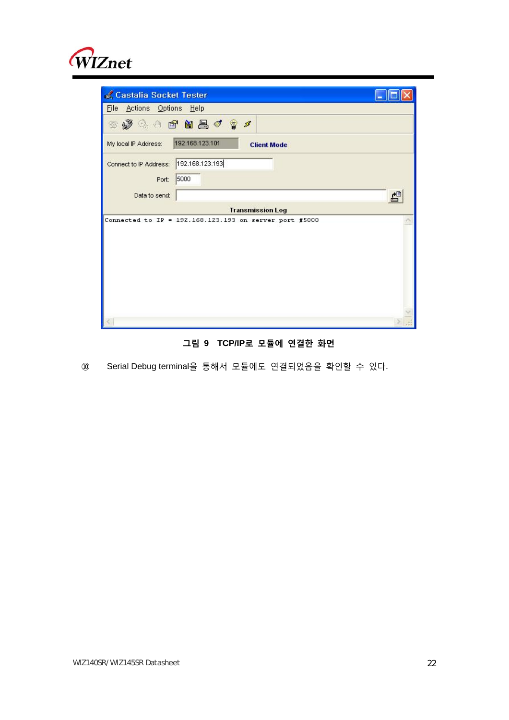

| Castalia Socket Tester                                        |   |  |
|---------------------------------------------------------------|---|--|
| Actions Options Help<br>Eile                                  |   |  |
| ◎梦4◎ 雪白昌ぐすゞ                                                   |   |  |
| 192.168.123.101<br>My local IP Address:<br><b>Client Mode</b> |   |  |
| 192.168.123.193<br>Connect to IP Address:                     |   |  |
| 5000<br>Port:                                                 |   |  |
| Data to send:                                                 | 름 |  |
|                                                               |   |  |
| <b>Transmission Log</b>                                       |   |  |
| Connected to IP = 192.168.123.193 on server port #5000        |   |  |
|                                                               |   |  |
|                                                               |   |  |
|                                                               |   |  |
|                                                               |   |  |
|                                                               |   |  |
|                                                               |   |  |
|                                                               |   |  |

**그림 9 TCP/IP로 모듈에 연결한 화면**

⑩ Serial Debug terminal을 통해서 모듈에도 연결되었음을 확인할 수 있다.